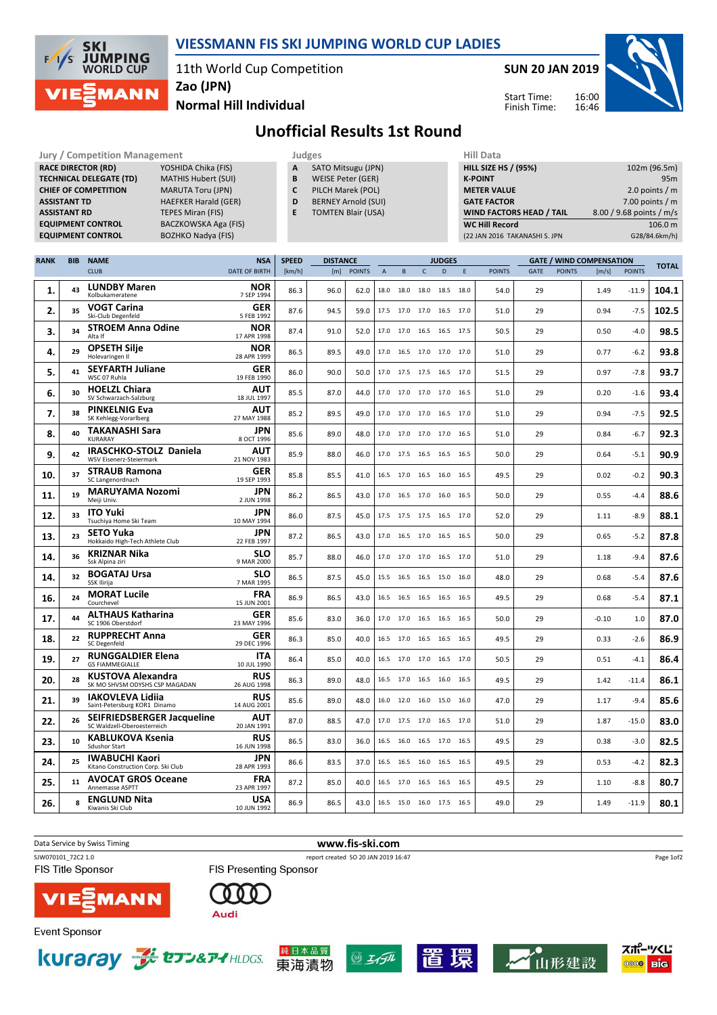

## VIESSMANN FIS SKI JUMPING WORLD CUP LADIES

11th World Cup Competition

Jury / Competition Management **All and Struck and Struck Judges** Hill Data Hill Data

SUN 20 JAN 2019

Start Time: Finish Time:



Normal Hill Individual

Unofficial Results 1st Round

|             | <b>ASSISTANT TD</b><br><b>ASSISTANT RD</b> | <b>RACE DIRECTOR (RD)</b><br><b>TECHNICAL DELEGATE (TD)</b><br><b>CHIEF OF COMPETITION</b><br><b>EQUIPMENT CONTROL</b><br><b>EQUIPMENT CONTROL</b> | Α<br>B<br>C<br>D<br>E              | SATO Mitsugu (JPN)<br><b>WEISE Peter (GER)</b><br>PILCH Marek (POL)<br><b>BERNEY Arnold (SUI)</b><br><b>TOMTEN Blair (USA)</b> |                        |               |              |                              |              |                    | <b>HILL SIZE HS / (95%)</b><br><b>K-POINT</b><br><b>METER VALUE</b><br><b>GATE FACTOR</b><br>WIND FACTORS HEAD / TAIL<br><b>WC Hill Record</b><br>(22 JAN 2016 TAKANASHI S. JPN |               | 102m (96.5m)<br>95m<br>2.0 points $/m$<br>7.00 points $/m$<br>8.00 / 9.68 points / m/s<br>106.0 m<br>G28/84.6km/h) |               |                                                           |         |              |
|-------------|--------------------------------------------|----------------------------------------------------------------------------------------------------------------------------------------------------|------------------------------------|--------------------------------------------------------------------------------------------------------------------------------|------------------------|---------------|--------------|------------------------------|--------------|--------------------|---------------------------------------------------------------------------------------------------------------------------------------------------------------------------------|---------------|--------------------------------------------------------------------------------------------------------------------|---------------|-----------------------------------------------------------|---------|--------------|
| <b>RANK</b> | <b>BIB</b>                                 | <b>NAME</b><br><b>CLUB</b>                                                                                                                         | <b>NSA</b><br><b>DATE OF BIRTH</b> | <b>SPEED</b><br>[km/h]                                                                                                         | <b>DISTANCE</b><br>[m] | <b>POINTS</b> | $\mathsf{A}$ | $\,$ B                       | $\mathsf{C}$ | <b>JUDGES</b><br>D | $\mathsf E$                                                                                                                                                                     | <b>POINTS</b> | <b>GATE</b>                                                                                                        | <b>POINTS</b> | <b>GATE / WIND COMPENSATION</b><br><b>POINTS</b><br>[m/s] |         | <b>TOTAL</b> |
| 1.          | 43                                         | <b>LUNDBY Maren</b><br>Kolbukameratene                                                                                                             | <b>NOR</b><br>7 SEP 1994           | 86.3                                                                                                                           | 96.0                   | 62.0          | 18.0         | 18.0                         | 18.0         | 18.5               | 18.0                                                                                                                                                                            | 54.0          | 29                                                                                                                 |               | 1.49                                                      | $-11.9$ | 104.1        |
| 2.          | 35                                         | <b>VOGT Carina</b><br>Ski-Club Degenfeld                                                                                                           | <b>GER</b><br>5 FEB 1992           | 87.6                                                                                                                           | 94.5                   | 59.0          |              | 17.5 17.0                    |              | 17.0 16.5 17.0     |                                                                                                                                                                                 | 51.0          | 29                                                                                                                 |               | 0.94                                                      | $-7.5$  | 102.5        |
| 3.          | 34                                         | <b>STROEM Anna Odine</b><br>Alta If                                                                                                                | <b>NOR</b><br>17 APR 1998          | 87.4                                                                                                                           | 91.0                   | 52.0          |              | 17.0 17.0 16.5 16.5 17.5     |              |                    |                                                                                                                                                                                 | 50.5          | 29                                                                                                                 |               | 0.50                                                      | $-4.0$  | 98.5         |
| 4.          | 29                                         | <b>OPSETH Silje</b><br>Holevaringen II                                                                                                             | <b>NOR</b><br>28 APR 1999          | 86.5                                                                                                                           | 89.5                   | 49.0          |              | 17.0  16.5  17.0  17.0  17.0 |              |                    |                                                                                                                                                                                 | 51.0          | 29                                                                                                                 |               | 0.77                                                      | $-6.2$  | 93.8         |
| 5.          | 41                                         | <b>SEYFARTH Juliane</b><br>WSC 07 Ruhla                                                                                                            | <b>GER</b><br>19 FEB 1990          | 86.0                                                                                                                           | 90.0                   | 50.0          |              | 17.0 17.5 17.5 16.5 17.0     |              |                    |                                                                                                                                                                                 | 51.5          | 29                                                                                                                 |               | 0.97                                                      | $-7.8$  | 93.7         |
| 6.          | 30                                         | <b>HOELZL Chiara</b><br>SV Schwarzach-Salzburg                                                                                                     | <b>AUT</b><br>18 JUL 1997          | 85.5                                                                                                                           | 87.0                   | 44.0          | 17.0         | 17.0 17.0 17.0               |              |                    | 16.5                                                                                                                                                                            | 51.0          | 29                                                                                                                 |               | 0.20                                                      | $-1.6$  | 93.4         |
| 7.          | 38                                         | <b>PINKELNIG Eva</b><br>SK Kehlegg-Vorarlberg                                                                                                      | AUT<br>27 MAY 1988                 | 85.2                                                                                                                           | 89.5                   | 49.0          |              | 17.0 17.0 17.0 16.5          |              |                    | 17.0                                                                                                                                                                            | 51.0          | 29                                                                                                                 |               | 0.94                                                      | $-7.5$  | 92.5         |
| 8.          | 40                                         | <b>TAKANASHI Sara</b><br><b>KURARAY</b>                                                                                                            | <b>JPN</b><br>8 OCT 1996           | 85.6                                                                                                                           | 89.0                   | 48.0          |              | 17.0 17.0 17.0 17.0 16.5     |              |                    |                                                                                                                                                                                 | 51.0          | 29                                                                                                                 |               | 0.84                                                      | $-6.7$  | 92.3         |
| 9.          | 42                                         | IRASCHKO-STOLZ Daniela<br><b>WSV Eisenerz-Steiermark</b>                                                                                           | AUT<br>21 NOV 1983                 | 85.9                                                                                                                           | 88.0                   | 46.0          |              | 17.0 17.5 16.5 16.5 16.5     |              |                    |                                                                                                                                                                                 | 50.0          | 29                                                                                                                 |               | 0.64                                                      | $-5.1$  | 90.9         |
| 10.         | 37                                         | <b>STRAUB Ramona</b><br>SC Langenordnach                                                                                                           | <b>GER</b><br>19 SEP 1993          | 85.8                                                                                                                           | 85.5                   | 41.0          |              | 16.5 17.0 16.5 16.0 16.5     |              |                    |                                                                                                                                                                                 | 49.5          | 29                                                                                                                 |               | 0.02                                                      | $-0.2$  | 90.3         |
| 11.         | 19                                         | <b>MARUYAMA Nozomi</b><br>Meiji Univ.                                                                                                              | JPN<br>2 JUN 1998                  | 86.2                                                                                                                           | 86.5                   | 43.0          |              | 17.0 16.5 17.0 16.0          |              |                    | 16.5                                                                                                                                                                            | 50.0          | 29                                                                                                                 |               | 0.55                                                      | $-4.4$  | 88.6         |
| 12.         | 33                                         | <b>ITO Yuki</b><br>Tsuchiya Home Ski Team                                                                                                          | JPN<br>10 MAY 1994                 | 86.0                                                                                                                           | 87.5                   | 45.0          |              | 17.5 17.5 17.5 16.5          |              |                    | 17.0                                                                                                                                                                            | 52.0          | 29                                                                                                                 |               | 1.11                                                      | $-8.9$  | 88.1         |
| 13.         | 23                                         | <b>SETO Yuka</b><br>Hokkaido High-Tech Athlete Club                                                                                                | JPN<br>22 FEB 1997                 | 87.2                                                                                                                           | 86.5                   | 43.0          |              | 17.0 16.5 17.0 16.5          |              |                    | 16.5                                                                                                                                                                            | 50.0          | 29                                                                                                                 |               | 0.65                                                      | $-5.2$  | 87.8         |
| 14.         | 36                                         | KRIZNAR Nika<br>Ssk Alpina ziri                                                                                                                    | <b>SLO</b><br>9 MAR 2000           | 85.7                                                                                                                           | 88.0                   | 46.0          |              | 17.0 17.0 17.0 16.5 17.0     |              |                    |                                                                                                                                                                                 | 51.0          | 29                                                                                                                 |               | 1.18                                                      | $-9.4$  | 87.6         |
| 14.         | 32                                         | <b>BOGATAJ Ursa</b><br>SSK Ilirija                                                                                                                 | SLO<br>7 MAR 1995                  | 86.5                                                                                                                           | 87.5                   | 45.0          |              | 15.5 16.5 16.5 15.0 16.0     |              |                    |                                                                                                                                                                                 | 48.0          | 29                                                                                                                 |               | 0.68                                                      | $-5.4$  | 87.6         |
| 16.         | 24                                         | <b>MORAT Lucile</b><br>Courchevel                                                                                                                  | <b>FRA</b><br>15 JUN 2001          | 86.9                                                                                                                           | 86.5                   | 43.0          |              | 16.5 16.5 16.5 16.5 16.5     |              |                    |                                                                                                                                                                                 | 49.5          | 29                                                                                                                 |               | 0.68                                                      | $-5.4$  | 87.1         |
| 17.         | 44                                         | <b>ALTHAUS Katharina</b><br>SC 1906 Oberstdorf                                                                                                     | <b>GER</b><br>23 MAY 1996          | 85.6                                                                                                                           | 83.0                   | 36.0          |              | 17.0 17.0 16.5 16.5 16.5     |              |                    |                                                                                                                                                                                 | 50.0          | 29                                                                                                                 |               | $-0.10$                                                   | 1.0     | 87.0         |
| 18.         | 22                                         | <b>RUPPRECHT Anna</b><br><b>SC Degenfeld</b>                                                                                                       | <b>GER</b><br>29 DEC 1996          | 86.3                                                                                                                           | 85.0                   | 40.0          |              | 16.5 17.0 16.5 16.5          |              |                    | 16.5                                                                                                                                                                            | 49.5          | 29                                                                                                                 |               | 0.33                                                      | $-2.6$  | 86.9         |
| 19.         | 27                                         | <b>RUNGGALDIER Elena</b><br><b>GS FIAMMEGIALLE</b>                                                                                                 | ITA<br>10 JUL 1990                 | 86.4                                                                                                                           | 85.0                   | 40.0          |              | 16.5 17.0 17.0 16.5 17.0     |              |                    |                                                                                                                                                                                 | 50.5          | 29                                                                                                                 |               | 0.51                                                      | $-4.1$  | 86.4         |
| 20.         | 28                                         | <b>KUSTOVA Alexandra</b><br>SK MO SHVSM ODYSHS CSP MAGADAN                                                                                         | <b>RUS</b><br>26 AUG 1998          | 86.3                                                                                                                           | 89.0                   | 48.0          |              | 16.5 17.0 16.5 16.0 16.5     |              |                    |                                                                                                                                                                                 | 49.5          | 29                                                                                                                 |               | 1.42                                                      | $-11.4$ | 86.1         |
| 21.         | 39                                         | IAKOVLEVA Lidiia<br>Saint-Petersburg KOR1 Dinamo                                                                                                   | <b>RUS</b><br>14 AUG 2001          | 85.6                                                                                                                           | 89.0                   | 48.0          |              | 16.0 12.0 16.0 15.0 16.0     |              |                    |                                                                                                                                                                                 | 47.0          | 29                                                                                                                 |               | 1.17                                                      | $-9.4$  | 85.6         |
| 22.         | 26                                         | <b>SEIFRIEDSBERGER Jacqueline</b><br>SC Waldzell-Oberoesterreich                                                                                   | <b>AUT</b><br>20 JAN 1991          | 87.0                                                                                                                           | 88.5                   | 47.0          |              | 17.0 17.5 17.0 16.5 17.0     |              |                    |                                                                                                                                                                                 | 51.0          | 29                                                                                                                 |               | 1.87                                                      | $-15.0$ | 83.0         |
| 23.         | 10                                         | KABLUKOVA Ksenia<br>Sdushor Start                                                                                                                  | <b>RUS</b><br>16 JUN 1998          | 86.5                                                                                                                           | 83.0                   | 36.0          |              | 16.5 16.0 16.5 17.0 16.5     |              |                    |                                                                                                                                                                                 | 49.5          | 29                                                                                                                 |               | 0.38                                                      | $-3.0$  | 82.5         |
| 24.         | 25                                         | <b>IWABUCHI Kaori</b><br>Kitano Construction Corp. Ski Club                                                                                        | JPN<br>28 APR 1993                 | 86.6                                                                                                                           | 83.5                   | 37.0          |              | 16.5 16.5 16.0 16.5 16.5     |              |                    |                                                                                                                                                                                 | 49.5          | 29                                                                                                                 |               | 0.53                                                      | $-4.2$  | 82.3         |
| 25.         | 11                                         | <b>AVOCAT GROS Oceane</b><br>Annemasse ASPTT                                                                                                       | <b>FRA</b><br>23 APR 1997          | 87.2                                                                                                                           | 85.0                   | 40.0          |              | 16.5 17.0 16.5 16.5 16.5     |              |                    |                                                                                                                                                                                 | 49.5          | 29                                                                                                                 |               | 1.10                                                      | $-8.8$  | 80.7         |
| 26.         | 8                                          | <b>ENGLUND Nita</b><br>Kiwanis Ski Club                                                                                                            | <b>USA</b><br>10 JUN 1992          | 86.9                                                                                                                           | 86.5                   | 43.0          |              | 16.5 15.0 16.0 17.5 16.5     |              |                    |                                                                                                                                                                                 | 49.0          | 29                                                                                                                 |               | 1.49                                                      | $-11.9$ | 80.1         |











擐